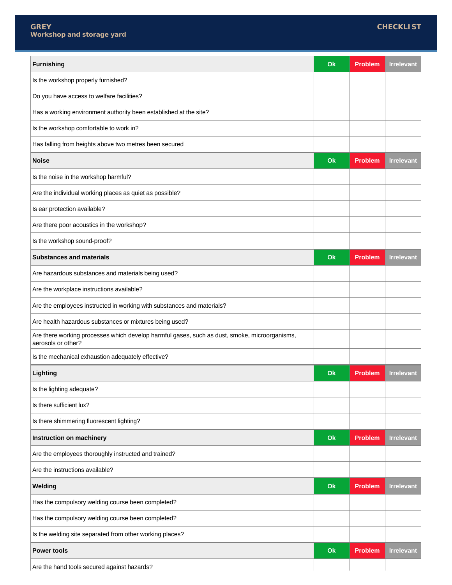| <b>Furnishing</b>                                                                                                   | Q  | <b>Problem</b> | <b>Irrelevant</b> |
|---------------------------------------------------------------------------------------------------------------------|----|----------------|-------------------|
| Is the workshop properly furnished?                                                                                 |    |                |                   |
| Do you have access to welfare facilities?                                                                           |    |                |                   |
| Has a working environment authority been established at the site?                                                   |    |                |                   |
| Is the workshop comfortable to work in?                                                                             |    |                |                   |
| Has falling from heights above two metres been secured                                                              |    |                |                   |
| <b>Noise</b>                                                                                                        | Ok | <b>Problem</b> | <b>Irrelevant</b> |
| Is the noise in the workshop harmful?                                                                               |    |                |                   |
| Are the individual working places as quiet as possible?                                                             |    |                |                   |
| Is ear protection available?                                                                                        |    |                |                   |
| Are there poor acoustics in the workshop?                                                                           |    |                |                   |
| Is the workshop sound-proof?                                                                                        |    |                |                   |
| <b>Substances and materials</b>                                                                                     | Ok | <b>Problem</b> | <b>Irrelevant</b> |
| Are hazardous substances and materials being used?                                                                  |    |                |                   |
| Are the workplace instructions available?                                                                           |    |                |                   |
| Are the employees instructed in working with substances and materials?                                              |    |                |                   |
| Are health hazardous substances or mixtures being used?                                                             |    |                |                   |
| Are there working processes which develop harmful gases, such as dust, smoke, microorganisms,<br>aerosols or other? |    |                |                   |
| Is the mechanical exhaustion adequately effective?                                                                  |    |                |                   |
| Lighting                                                                                                            | Ok | <b>Problem</b> | Irrelevant        |
| Is the lighting adequate?                                                                                           |    |                |                   |
| Is there sufficient lux?                                                                                            |    |                |                   |
| Is there shimmering fluorescent lighting?                                                                           |    |                |                   |
| Instruction on machinery                                                                                            | Ok | <b>Problem</b> | <b>Irrelevant</b> |
| Are the employees thoroughly instructed and trained?                                                                |    |                |                   |
| Are the instructions available?                                                                                     |    |                |                   |
| Welding                                                                                                             | Ok | <b>Problem</b> | <b>Irrelevant</b> |
| Has the compulsory welding course been completed?                                                                   |    |                |                   |
| Has the compulsory welding course been completed?                                                                   |    |                |                   |
| Is the welding site separated from other working places?                                                            |    |                |                   |
| <b>Power tools</b>                                                                                                  | Ok | <b>Problem</b> | <b>Irrelevant</b> |
| Are the hand tools secured against hazards?                                                                         |    |                |                   |